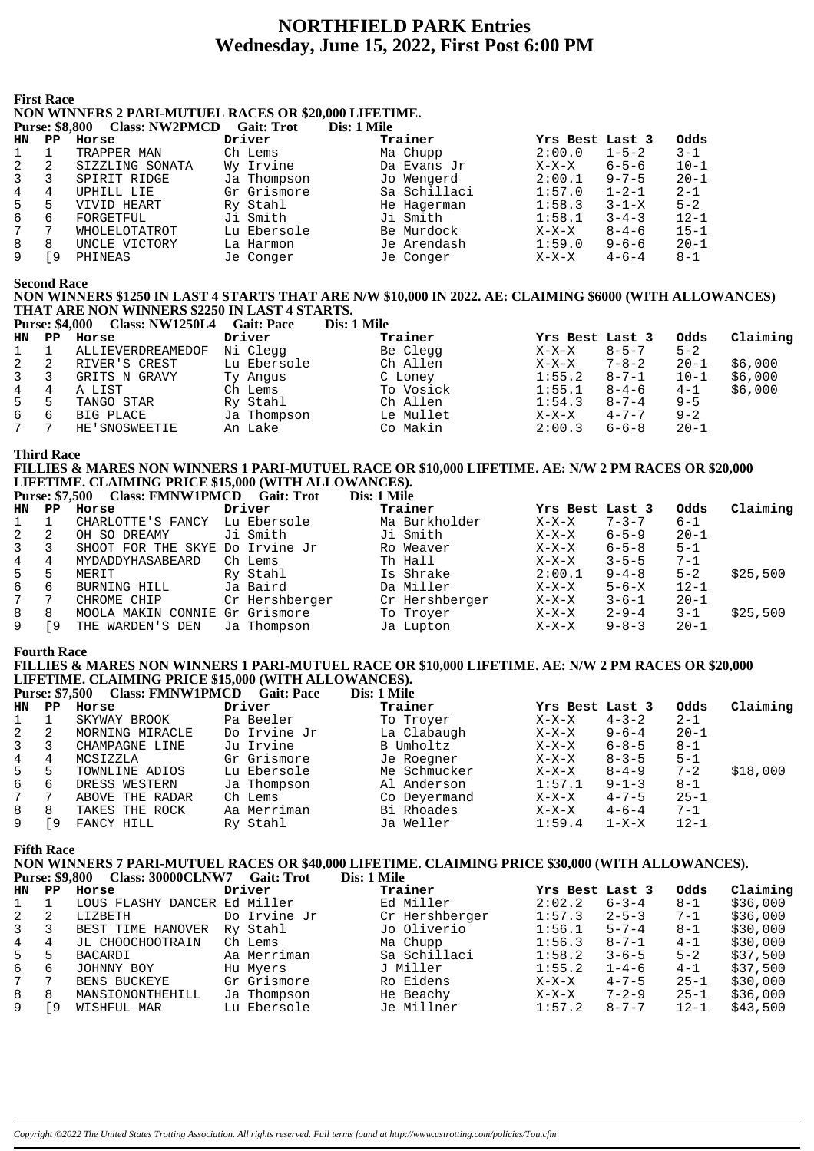# **NORTHFIELD PARK Entries** Wednesday, June 15, 2022, First Post 6:00 PM

#### **First Race**

#### NON WINNERS 2 PARI-MUTUEL RACES OR \$20,000 LIFETIME.  $C_9$ it. Trot  $D_{\text{trunc}}$ , come one  $C_{\text{loco}}$ , NW/2DM $C$ D  $\mathbf{D}_{\text{tot}}$  1 M

|    | Purse: 58.800 | <b>Class: NWZPMCD</b> | Gait: Trot  | Dis: 1 Mile  |                 |             |          |
|----|---------------|-----------------------|-------------|--------------|-----------------|-------------|----------|
| HN | $_{\rm PP}$   | Horse                 | Driver      | Trainer      | Yrs Best Last 3 |             | Odds     |
|    |               | TRAPPER MAN           | Ch Lems     | Ma Chupp     | 2:00.0          | $1 - 5 - 2$ | $3 - 1$  |
|    | 2             | SIZZLING SONATA       | Wy Irvine   | Da Evans Jr  | $X-X-X$         | $6 - 5 - 6$ | $10 - 1$ |
|    | 3             | SPIRIT RIDGE          | Ja Thompson | Jo Wengerd   | 2:00.1          | $9 - 7 - 5$ | $20 - 1$ |
| 4  | 4             | UPHILL LIE            | Gr Grismore | Sa Schillaci | 1:57.0          | $1 - 2 - 1$ | $2 - 1$  |
| 5. | 5             | VIVID HEART           | Ry Stahl    | He Hagerman  | 1:58.3          | $3 - 1 - X$ | $5 - 2$  |
| 6  | 6             | FORGETFUL             | Ji Smith    | Ji Smith     | 1:58.1          | $3 - 4 - 3$ | $12 - 1$ |
|    | 7             | WHOLELOTATROT         | Lu Ebersole | Be Murdock   | $X-X-X$         | $8 - 4 - 6$ | $15 - 1$ |
| 8  | 8             | UNCLE VICTORY         | La Harmon   | Je Arendash  | 1:59.0          | $9 - 6 - 6$ | $20 - 1$ |
|    | i 9           | PHINEAS               | Je Conger   | Je Conger    | $X-X-X$         | $4 - 6 - 4$ | $8-1$    |
|    |               |                       |             |              |                 |             |          |

**Second Race** 

## NON WINNERS \$1250 IN LAST 4 STARTS THAT ARE N/W \$10,000 IN 2022. AE: CLAIMING \$6000 (WITH ALLOWANCES) THAT ARE NON WINNERS \$2250 IN LAST 4 STARTS.

|                | <b>Purse: \$4,000</b> | <b>Class: NW1250L4</b> | <b>Gait: Pace</b> | Dis: 1 Mile |                 |             |          |          |
|----------------|-----------------------|------------------------|-------------------|-------------|-----------------|-------------|----------|----------|
| HN.            | $\mathbf{PP}$         | Horse                  | Driver            | Trainer     | Yrs Best Last 3 |             | Odds     | Claiming |
| $\mathbf{1}$   |                       | ALLIEVERDREAMEDOF      | Ni Clegg          | Be Clegg    | X-X-X           | $8 - 5 - 7$ | $5 - 2$  |          |
| 2              | 2                     | RIVER'S CREST          | Lu Ebersole       | Ch Allen    | $X-X-X$         | $7 - 8 - 2$ | $20 - 1$ | \$6,000  |
| $\overline{3}$ | 3                     | GRITS N GRAVY          | Ty Angus          | C Loney     | 1:55.2          | $8 - 7 - 1$ | $10 - 1$ | \$6,000  |
| 4              | 4                     | A LIST                 | Ch Lems           | To Vosick   | 1:55.1          | $8 - 4 - 6$ | $4 - 1$  | \$6,000  |
| 5              | -5                    | TANGO STAR             | Ry Stahl          | Ch Allen    | 1:54.3          | $8 - 7 - 4$ | $9 - 5$  |          |
| 6              | -6                    | BIG PLACE              | Ja Thompson       | Le Mullet   | $X-X-X$         | $4 - 7 - 7$ | $9 - 2$  |          |
| 7              | 7                     | HE'SNOSWEETIE          | An Lake           | Co Makin    | 2:00.3          | $6 - 6 - 8$ | $20 - 1$ |          |

**Third Race** 

## FILLIES & MARES NON WINNERS 1 PARI-MUTUEL RACE OR \$10,000 LIFETIME. AE: N/W 2 PM RACES OR \$20,000 LIFETIME. CLAIMING PRICE \$15,000 (WITH ALLOWANCES).

|                |    | Purse: 57,500 Class: FININ WIPMCD Gall: 1 FOU |                | DIS: 1 MIIIE   |                 |             |          |          |
|----------------|----|-----------------------------------------------|----------------|----------------|-----------------|-------------|----------|----------|
| HN             | PP | Horse                                         | Driver         | Trainer        | Yrs Best Last 3 |             | Odds     | Claiming |
|                |    | CHARLOTTE'S FANCY                             | Lu Ebersole    | Ma Burkholder  | $X-X-X$         | $7 - 3 - 7$ | $6 - 1$  |          |
| 2              |    | OH SO DREAMY                                  | Ji Smith       | Ji Smith       | X-X-X           | $6 - 5 - 9$ | $20 - 1$ |          |
| $\overline{3}$ | 3  | SHOOT FOR THE SKYE Do Irvine Jr               |                | Ro Weaver      | $X-X-X$         | $6 - 5 - 8$ | $5 - 1$  |          |
| 4              | 4  | MYDADDYHASABEARD                              | Ch Lems        | Th Hall        | $X-X-X$         | $3 - 5 - 5$ | $7 - 1$  |          |
| 5              | 5  | MERIT                                         | Ry Stahl       | Is Shrake      | 2:00.1          | $9 - 4 - 8$ | $5 - 2$  | \$25,500 |
| 6              | 6  | BURNING HILL                                  | Ja Baird       | Da Miller      | $X-X-X$         | $5 - 6 - X$ | $12 - 1$ |          |
| 7              |    | CHROME CHIP                                   | Cr Hershberger | Cr Hershberger | $X-X-X$         | $3 - 6 - 1$ | $20 - 1$ |          |
| 8              | 8  | MOOLA MAKIN CONNIE Gr Grismore                |                | To Troyer      | X-X-X           | $2 - 9 - 4$ | $3 - 1$  | \$25,500 |
| 9              | 9۱ | THE WARDEN'S DEN                              | Ja Thompson    | Ja Lupton      | $X-X-X$         | $9 - 8 - 3$ | $20 - 1$ |          |

#### **Fourth Race**

#### FILLIES & MARES NON WINNERS 1 PARI-MUTUEL RACE OR \$10,000 LIFETIME. AE: N/W 2 PM RACES OR \$20,000 LIFETIME. CLAIMING PRICE \$15,000 (WITH ALLOWANCES).  $C<sub>lass</sub>$ :  $\overline{F}$ MNW1PM $\overline{G}$ Die:  $1 N$  $D_{\text{truncor}}$   $\&$  7  $E00$  $x^2 + D \cdot D$

|              | $\bf{r}$ urse; $\bf{v}$ , $\bf{v}$ | Ciass: FIVIIV W LE MCD Gall: Face |              | DIS, I VIIIE |                 |             |          |          |
|--------------|------------------------------------|-----------------------------------|--------------|--------------|-----------------|-------------|----------|----------|
| HN.          | PP.                                | Horse                             | Driver       | Trainer      | Yrs Best Last 3 |             | Odds     | Claiming |
|              |                                    | SKYWAY BROOK                      | Pa Beeler    | To Troyer    | X-X-X           | $4 - 3 - 2$ | $2 - 1$  |          |
| 2            |                                    | MORNING MIRACLE                   | Do Irvine Jr | La Clabaugh  | $X-X-X$         | $9 - 6 - 4$ | $20 - 1$ |          |
| $\mathbf{3}$ |                                    | CHAMPAGNE LINE                    | Ju Irvine    | B Umholtz    | $X-X-X$         | $6 - 8 - 5$ | $8 - 1$  |          |
| 4            | 4                                  | MCSIZZLA                          | Gr Grismore  | Je Roegner   | $X-X-X$         | $8 - 3 - 5$ | $5 - 1$  |          |
| 5            | 5                                  | TOWNLINE ADIOS                    | Lu Ebersole  | Me Schmucker | $X-X-X$         | $8 - 4 - 9$ | $7 - 2$  | \$18,000 |
| 6            | 6                                  | DRESS WESTERN                     | Ja Thompson  | Al Anderson  | 1:57.1          | $9 - 1 - 3$ | $8 - 1$  |          |
| 7            |                                    | ABOVE THE RADAR                   | Ch Lems      | Co Deyermand | $X-X-X$         | $4 - 7 - 5$ | $25 - 1$ |          |
| 8            | 8                                  | TAKES THE ROCK                    | Aa Merriman  | Bi Rhoades   | $X-X-X$         | $4 - 6 - 4$ | $7 - 1$  |          |
| 9            | 9                                  | FANCY HILL                        | Ry Stahl     | Ja Weller    | 1:59.4          | $1 - X - X$ | $12 - 1$ |          |

**Fifth Race** 

NON WINNERS 7 PARI-MUTUEL RACES OR \$40,000 LIFETIME. CLAIMING PRICE \$30,000 (WITH ALLOWANCES).

|              |     |                              |              | Dis: 1 Mile    |                 |             |          |          |
|--------------|-----|------------------------------|--------------|----------------|-----------------|-------------|----------|----------|
| HN PP        |     | Horse                        | Driver       | Trainer        | Yrs Best Last 3 |             | Odds     | Claiming |
|              |     | LOUS FLASHY DANCER Ed Miller |              | Ed Miller      | 2:02.2          | $6 - 3 - 4$ | $8 - 1$  | \$36,000 |
| $\mathbf{2}$ | 2   | LIZBETH                      | Do Irvine Jr | Cr Hershberger | 1:57.3          | $2 - 5 - 3$ | $7 - 1$  | \$36,000 |
| $3^{\circ}$  |     | BEST TIME HANOVER            | Ry Stahl     | Jo Oliverio    | 1:56.1          | $5 - 7 - 4$ | $8 - 1$  | \$30,000 |
| 4            | 4   | JL CHOOCHOOTRAIN             | Ch Lems      | Ma Chupp       | 1:56.3          | $8 - 7 - 1$ | $4 - 1$  | \$30,000 |
| 5            | 5   | BACARDI                      | Aa Merriman  | Sa Schillaci   | 1:58.2          | $3 - 6 - 5$ | $5 - 2$  | \$37,500 |
| 6            | 6   | JOHNNY BOY                   | Hu Myers     | J Miller       | 1:55.2          | $1 - 4 - 6$ | $4 - 1$  | \$37,500 |
| 7            |     | BENS BUCKEYE                 | Gr Grismore  | Ro Eidens      | X-X-X           | $4 - 7 - 5$ | $25 - 1$ | \$30,000 |
| 8            | 8   | MANSIONONTHEHILL             | Ja Thompson  | He Beachy      | $X-X-X$         | $7 - 2 - 9$ | $25 - 1$ | \$36,000 |
| 9            | ſ9. | WISHFUL MAR                  | Lu Ebersole  | Je Millner     | 1:57.2          | $8 - 7 - 7$ | $12 - 1$ | \$43,500 |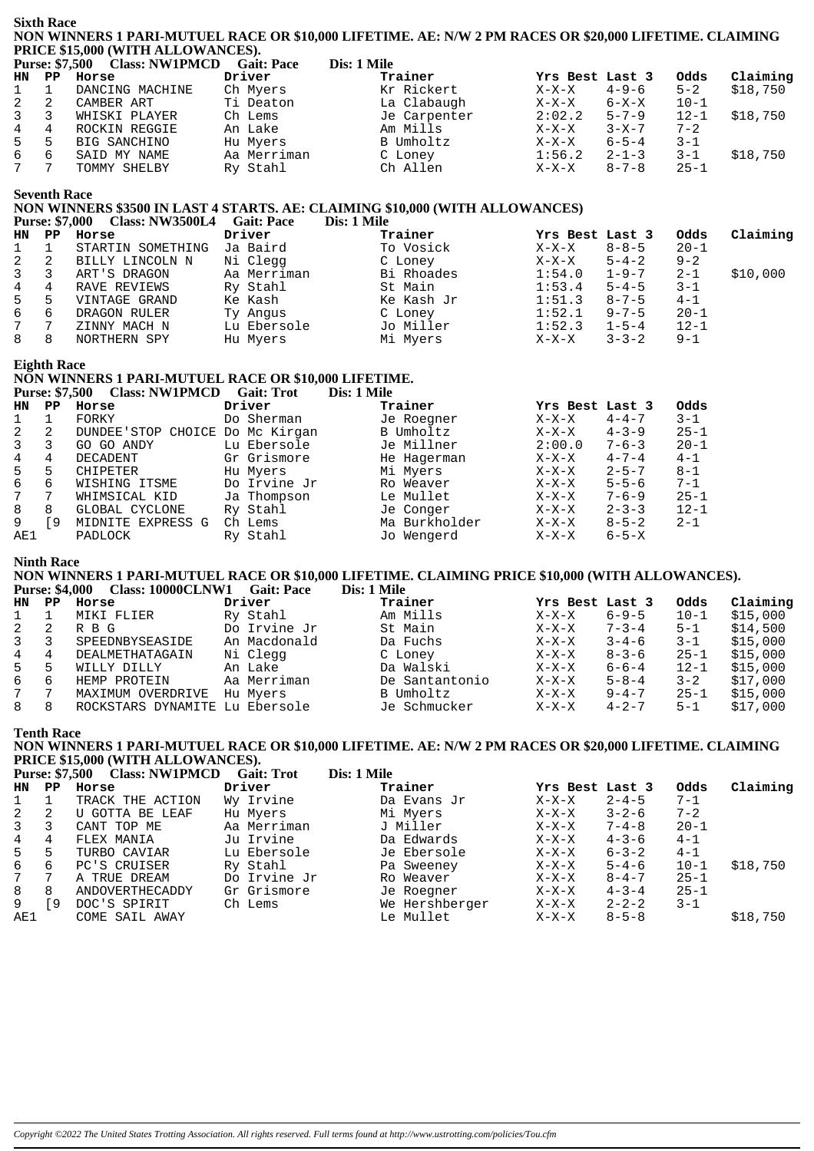|                 | <b>Sixth Race</b><br>NON WINNERS 1 PARI-MUTUEL RACE OR \$10,000 LIFETIME. AE: N/W 2 PM RACES OR \$20,000 LIFETIME. CLAIMING<br>PRICE \$15,000 (WITH ALLOWANCES).          |                                                                                                        |                   |             |                |                 |             |                  |          |  |  |
|-----------------|---------------------------------------------------------------------------------------------------------------------------------------------------------------------------|--------------------------------------------------------------------------------------------------------|-------------------|-------------|----------------|-----------------|-------------|------------------|----------|--|--|
|                 |                                                                                                                                                                           | Purse: \$7,500 Class: NW1PMCD                                                                          | <b>Gait: Pace</b> | Dis: 1 Mile |                |                 |             |                  |          |  |  |
| HN              | $_{\rm PP}$                                                                                                                                                               | Horse                                                                                                  | Driver            |             | Trainer        | Yrs Best Last 3 |             | Odds             | Claiming |  |  |
| 1               | 1                                                                                                                                                                         | DANCING MACHINE                                                                                        | Ch Myers          |             | Kr Rickert     | $X-X-X$         | $4 - 9 - 6$ | $5 - 2$          | \$18,750 |  |  |
| $\sqrt{2}$      | 2                                                                                                                                                                         | CAMBER ART                                                                                             | Ti Deaton         |             | La Clabaugh    | $X-X-X$         | $6 - X - X$ | $10 - 1$         |          |  |  |
| 3               | 3                                                                                                                                                                         | WHISKI PLAYER                                                                                          | Ch Lems           |             | Je Carpenter   | 2:02.2          | $5 - 7 - 9$ | $12 - 1$         | \$18,750 |  |  |
| $\overline{4}$  | 4                                                                                                                                                                         | ROCKIN REGGIE                                                                                          | An Lake           |             | Am Mills       | $X-X-X$         | $3 - X - 7$ | $7 - 2$          |          |  |  |
| 5               | 5                                                                                                                                                                         | BIG SANCHINO                                                                                           | Hu Myers          |             | B Umholtz      | $X-X-X$         | $6 - 5 - 4$ | 3-1              |          |  |  |
| 6               | 6                                                                                                                                                                         |                                                                                                        |                   |             |                | 1:56.2          |             |                  |          |  |  |
| 7               | 7                                                                                                                                                                         | SAID MY NAME                                                                                           | Aa Merriman       |             | C Loney        |                 | $2 - 1 - 3$ | $3 - 1$          | \$18,750 |  |  |
|                 |                                                                                                                                                                           | TOMMY SHELBY                                                                                           | Ry Stahl          |             | Ch Allen       | $X-X-X$         | $8 - 7 - 8$ | $25 - 1$         |          |  |  |
|                 |                                                                                                                                                                           |                                                                                                        |                   |             |                |                 |             |                  |          |  |  |
|                 | <b>Seventh Race</b><br>NON WINNERS \$3500 IN LAST 4 STARTS. AE: CLAIMING \$10,000 (WITH ALLOWANCES)<br><b>Purse: \$7,000</b><br>Class: NW3500L4 Gait: Pace<br>Dis: 1 Mile |                                                                                                        |                   |             |                |                 |             |                  |          |  |  |
|                 | PP                                                                                                                                                                        |                                                                                                        | Driver            |             | Trainer        |                 |             |                  |          |  |  |
| HN.             |                                                                                                                                                                           | Horse                                                                                                  |                   |             |                | Yrs Best Last 3 |             | Odds<br>$20 - 1$ | Claiming |  |  |
| 1               | 1                                                                                                                                                                         | STARTIN SOMETHING                                                                                      | Ja Baird          |             | To Vosick      | $X-X-X$         | $8 - 8 - 5$ |                  |          |  |  |
| 2               | 2                                                                                                                                                                         | BILLY LINCOLN N                                                                                        | Ni Clegg          |             | C Loney        | $X-X-X$         | $5 - 4 - 2$ | $9 - 2$          |          |  |  |
| 3               | 3                                                                                                                                                                         | ART'S DRAGON                                                                                           | Aa Merriman       |             | Bi Rhoades     | 1:54.0          | $1 - 9 - 7$ | 2-1              | \$10,000 |  |  |
| $\,4$           | 4                                                                                                                                                                         | RAVE REVIEWS                                                                                           | Ry Stahl          |             | St Main        | 1:53.4          | $5 - 4 - 5$ | $3 - 1$          |          |  |  |
| 5               | 5                                                                                                                                                                         | VINTAGE GRAND                                                                                          | Ke Kash           |             | Ke Kash Jr     | 1:51.3          | $8 - 7 - 5$ | $4 - 1$          |          |  |  |
| $\epsilon$      | 6                                                                                                                                                                         | DRAGON RULER                                                                                           | Ty Angus          |             | C Loney        | 1:52.1          | $9 - 7 - 5$ | $20 - 1$         |          |  |  |
| 7               | 7                                                                                                                                                                         | ZINNY MACH N                                                                                           | Lu Ebersole       |             | Jo Miller      | 1:52.3          | $1 - 5 - 4$ | $12 - 1$         |          |  |  |
| 8               | 8                                                                                                                                                                         | NORTHERN SPY                                                                                           | Hu Myers          |             | Mi Myers       | $X-X-X$         | $3 - 3 - 2$ | $9 - 1$          |          |  |  |
|                 |                                                                                                                                                                           |                                                                                                        |                   |             |                |                 |             |                  |          |  |  |
|                 | <b>Eighth Race</b>                                                                                                                                                        | NON WINNERS 1 PARI-MUTUEL RACE OR \$10,000 LIFETIME.                                                   |                   |             |                |                 |             |                  |          |  |  |
|                 |                                                                                                                                                                           | Purse: \$7,500 Class: NW1PMCD Gait: Trot                                                               |                   | Dis: 1 Mile |                |                 |             |                  |          |  |  |
| HN.             | $_{\rm PP}$                                                                                                                                                               | Horse                                                                                                  | Driver            |             | Trainer        | Yrs Best Last 3 |             | Odds             |          |  |  |
| 1               | 1                                                                                                                                                                         | FORKY                                                                                                  | Do Sherman        |             | Je Roegner     | $X-X-X$         | $4 - 4 - 7$ | $3 - 1$          |          |  |  |
| 2               | 2                                                                                                                                                                         | DUNDEE'STOP CHOICE Do Mc Kirgan                                                                        |                   |             | B Umholtz      | $X-X-X$         | $4 - 3 - 9$ | $25 - 1$         |          |  |  |
| 3               | 3                                                                                                                                                                         | GO GO ANDY                                                                                             | Lu Ebersole       |             | Je Millner     | 2:00.0          | $7 - 6 - 3$ | $20 - 1$         |          |  |  |
| $\,4$           | 4                                                                                                                                                                         | DECADENT                                                                                               | Gr Grismore       |             | He Hagerman    | $X-X-X$         | $4 - 7 - 4$ | $4 - 1$          |          |  |  |
| 5               | 5                                                                                                                                                                         | CHIPETER                                                                                               | Hu Myers          |             | Mi Myers       | $X-X-X$         | $2 - 5 - 7$ | $8 - 1$          |          |  |  |
| $\epsilon$      | 6                                                                                                                                                                         | WISHING ITSME                                                                                          | Do Irvine Jr      |             | Ro Weaver      | $X-X-X$         | $5 - 5 - 6$ | $7 - 1$          |          |  |  |
| 7               | 7                                                                                                                                                                         | WHIMSICAL KID                                                                                          | Ja Thompson       |             | Le Mullet      | $X-X-X$         | $7 - 6 - 9$ | $25 - 1$         |          |  |  |
| 8               | 8                                                                                                                                                                         | GLOBAL CYCLONE                                                                                         | Ry Stahl          |             | Je Conger      | $X-X-X$         | $2 - 3 - 3$ | $12 - 1$         |          |  |  |
| 9               | [9                                                                                                                                                                        | MIDNITE EXPRESS G                                                                                      | Ch Lems           |             | Ma Burkholder  | $X-X-X$         | $8 - 5 - 2$ | $2 - 1$          |          |  |  |
| AE1             |                                                                                                                                                                           | PADLOCK                                                                                                | Ry Stahl          |             | Jo Wengerd     | $X-X-X$         | $6 - 5 - X$ |                  |          |  |  |
|                 |                                                                                                                                                                           |                                                                                                        |                   |             |                |                 |             |                  |          |  |  |
|                 | <b>Ninth Race</b>                                                                                                                                                         | NON WINNERS 1 PARI-MUTUEL RACE OR \$10,000 LIFETIME. CLAIMING PRICE \$10,000 (WITH ALLOWANCES).        |                   |             |                |                 |             |                  |          |  |  |
|                 |                                                                                                                                                                           | Purse: \$4,000 Class: 10000CLNW1 Gait: Pace                                                            |                   |             | Dis: 1 Mile    |                 |             |                  |          |  |  |
| HN.             | PP                                                                                                                                                                        | Horse                                                                                                  | Driver            |             | Trainer        | Yrs Best Last 3 |             | Odds             | Claiming |  |  |
| 1               | 1                                                                                                                                                                         | MIKI FLIER                                                                                             | Ry Stahl          |             | Am Mills       | $X-X-X$         | $6 - 9 - 5$ | $10 - 1$         | \$15,000 |  |  |
| 2               | $\overline{a}$                                                                                                                                                            | R B G                                                                                                  | Do Irvine Jr      |             | St Main        | $X-X-X$         | $7 - 3 - 4$ | $5 - 1$          | \$14,500 |  |  |
| 3               | 3                                                                                                                                                                         | SPEEDNBYSEASIDE                                                                                        | An Macdonald      |             | Da Fuchs       | $X-X-X$         | $3 - 4 - 6$ | $3 - 1$          | \$15,000 |  |  |
| 4               | 4                                                                                                                                                                         | DEALMETHATAGAIN                                                                                        | Ni Clegg          |             | C Loney        | $X-X-X$         | $8 - 3 - 6$ | $25 - 1$         | \$15,000 |  |  |
| 5               | 5                                                                                                                                                                         | WILLY DILLY                                                                                            | An Lake           |             | Da Walski      | $X-X-X$         | $6 - 6 - 4$ | $12 - 1$         | \$15,000 |  |  |
| 6               | 6                                                                                                                                                                         | HEMP PROTEIN                                                                                           | Aa Merriman       |             | De Santantonio | $X-X-X$         | $5 - 8 - 4$ | $3 - 2$          | \$17,000 |  |  |
| $7\phantom{.0}$ | 7                                                                                                                                                                         | MAXIMUM OVERDRIVE Hu Myers                                                                             |                   |             | B Umholtz      | $X-X-X$         | $9 - 4 - 7$ | $25 - 1$         | \$15,000 |  |  |
| 8               | 8                                                                                                                                                                         | ROCKSTARS DYNAMITE Lu Ebersole                                                                         |                   |             | Je Schmucker   | $X-X-X$         | $4 - 2 - 7$ | $5 - 1$          | \$17,000 |  |  |
|                 |                                                                                                                                                                           |                                                                                                        |                   |             |                |                 |             |                  |          |  |  |
|                 | <b>Tenth Race</b>                                                                                                                                                         | NON WINNERS 1 PARI-MUTUEL RACE OR \$10,000 LIFETIME. AE: N/W 2 PM RACES OR \$20,000 LIFETIME. CLAIMING |                   |             |                |                 |             |                  |          |  |  |
|                 |                                                                                                                                                                           | PRICE \$15,000 (WITH ALLOWANCES).                                                                      |                   |             |                |                 |             |                  |          |  |  |
|                 |                                                                                                                                                                           | Purse: \$7,500 Class: NW1PMCD Gait: Trot                                                               |                   | Dis: 1 Mile |                |                 |             |                  |          |  |  |
| HN.             | $\mathbf{P} \mathbf{P}$                                                                                                                                                   | Horse                                                                                                  | Driver            |             | Trainer        | Yrs Best Last 3 |             | Odds             | Claiming |  |  |
| 1               | $\mathbf 1$                                                                                                                                                               | TRACK THE ACTION                                                                                       | Wy Irvine         |             | Da Evans Jr    | $X-X-X$         | $2 - 4 - 5$ | $7 - 1$          |          |  |  |
| 2               | 2                                                                                                                                                                         | U GOTTA BE LEAF                                                                                        | Hu Myers          |             | Mi Myers       | $X-X-X$         | $3 - 2 - 6$ | $7 - 2$          |          |  |  |
| 3               | 3                                                                                                                                                                         | CANT TOP ME                                                                                            | Aa Merriman       |             | J Miller       | $X-X-X$         | $7 - 4 - 8$ | $20 - 1$         |          |  |  |
| 4               | 4                                                                                                                                                                         | FLEX MANIA                                                                                             | Ju Irvine         |             | Da Edwards     | $X-X-X$         | $4 - 3 - 6$ | $4 - 1$          |          |  |  |
| 5               | 5                                                                                                                                                                         | TURBO CAVIAR                                                                                           | Lu Ebersole       |             | Je Ebersole    | $X-X-X$         | $6 - 3 - 2$ | $4 - 1$          |          |  |  |
| 6               | 6                                                                                                                                                                         |                                                                                                        | Ry Stahl          |             | Pa Sweeney     |                 | $5 - 4 - 6$ | $10 - 1$         |          |  |  |
| $\overline{7}$  | 7                                                                                                                                                                         | PC'S CRUISER                                                                                           | Do Irvine Jr      |             |                | $X-X-X$         |             | $25 - 1$         | \$18,750 |  |  |
|                 |                                                                                                                                                                           | A TRUE DREAM                                                                                           |                   |             | Ro Weaver      | $X-X-X$         | $8 - 4 - 7$ |                  |          |  |  |
| 8               | 8                                                                                                                                                                         | ANDOVERTHECADDY                                                                                        | Gr Grismore       |             | Je Roegner     | $X-X-X$         | $4 - 3 - 4$ | $25 - 1$         |          |  |  |
| 9               | [9                                                                                                                                                                        | DOC'S SPIRIT                                                                                           | Ch Lems           |             | We Hershberger | $X-X-X$         | $2 - 2 - 2$ | $3 - 1$          |          |  |  |
| AE1             |                                                                                                                                                                           | COME SAIL AWAY                                                                                         |                   |             | Le Mullet      | $X-X-X$         | $8 - 5 - 8$ |                  | \$18,750 |  |  |
|                 |                                                                                                                                                                           |                                                                                                        |                   |             |                |                 |             |                  |          |  |  |